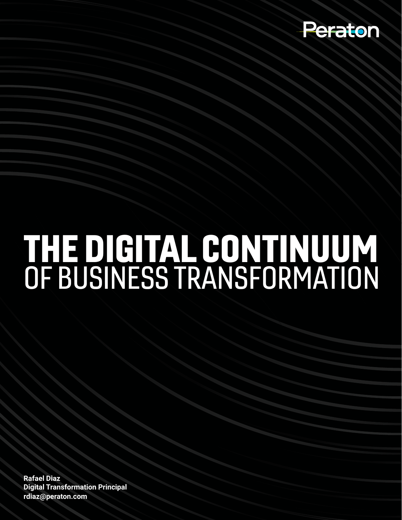

## THE DIGITAL CONTINUUM OF BUSINESS TRANSFORMATION

**Rafael Diaz Digital Transformation Principal rdiaz@peraton.com**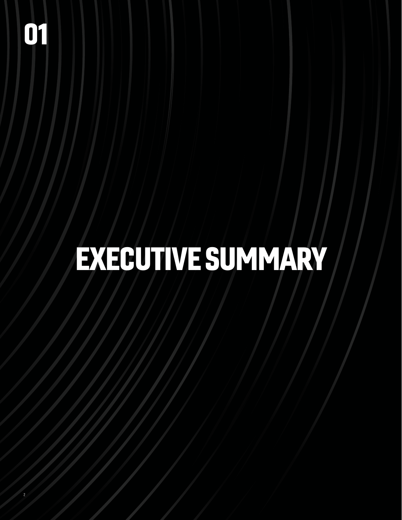## EXECUTIVE SUMMARY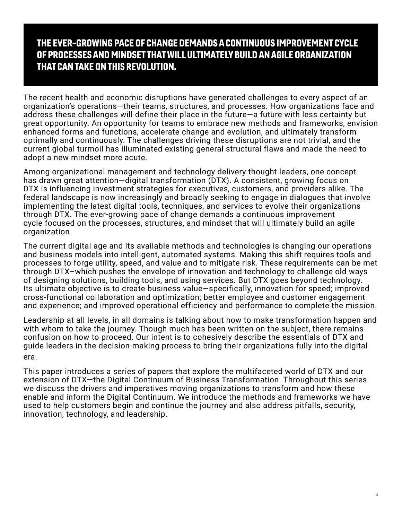#### THE EVER-GROWING PACE OF CHANGE DEMANDS A CONTINUOUS IMPROVEMENT CYCLE OF PROCESSES AND MINDSET THAT WILL ULTIMATELY BUILD AN AGILE ORGANIZATION THAT CAN TAKE ON THIS REVOLUTION.

The recent health and economic disruptions have generated challenges to every aspect of an organization's operations—their teams, structures, and processes. How organizations face and address these challenges will define their place in the future—a future with less certainty but great opportunity. An opportunity for teams to embrace new methods and frameworks, envision enhanced forms and functions, accelerate change and evolution, and ultimately transform optimally and continuously. The challenges driving these disruptions are not trivial, and the current global turmoil has illuminated existing general structural flaws and made the need to adopt a new mindset more acute.

Among organizational management and technology delivery thought leaders, one concept has drawn great attention—digital transformation (DTX). A consistent, growing focus on DTX is influencing investment strategies for executives, customers, and providers alike. The federal landscape is now increasingly and broadly seeking to engage in dialogues that involve implementing the latest digital tools, techniques, and services to evolve their organizations through DTX. The ever-growing pace of change demands a continuous improvement cycle focused on the processes, structures, and mindset that will ultimately build an agile organization.

The current digital age and its available methods and technologies is changing our operations and business models into intelligent, automated systems. Making this shift requires tools and processes to forge utility, speed, and value and to mitigate risk. These requirements can be met through DTX–which pushes the envelope of innovation and technology to challenge old ways of designing solutions, building tools, and using services. But DTX goes beyond technology. Its ultimate objective is to create business value—specifically, innovation for speed; improved cross-functional collaboration and optimization; better employee and customer engagement and experience; and improved operational efficiency and performance to complete the mission.

Leadership at all levels, in all domains is talking about how to make transformation happen and with whom to take the journey. Though much has been written on the subject, there remains confusion on how to proceed. Our intent is to cohesively describe the essentials of DTX and guide leaders in the decision-making process to bring their organizations fully into the digital era.

This paper introduces a series of papers that explore the multifaceted world of DTX and our extension of DTX—the Digital Continuum of Business Transformation. Throughout this series we discuss the drivers and imperatives moving organizations to transform and how these enable and inform the Digital Continuum. We introduce the methods and frameworks we have used to help customers begin and continue the journey and also address pitfalls, security, innovation, technology, and leadership.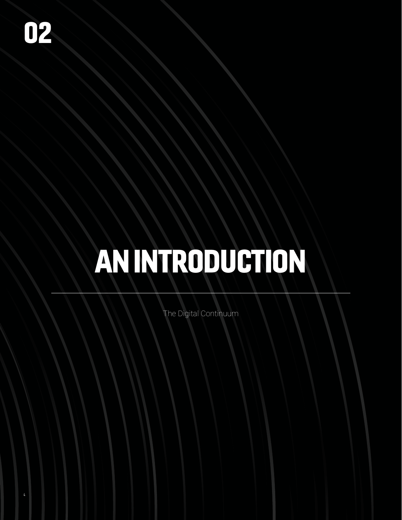# AN INTRODUCTION

The Digital Continuum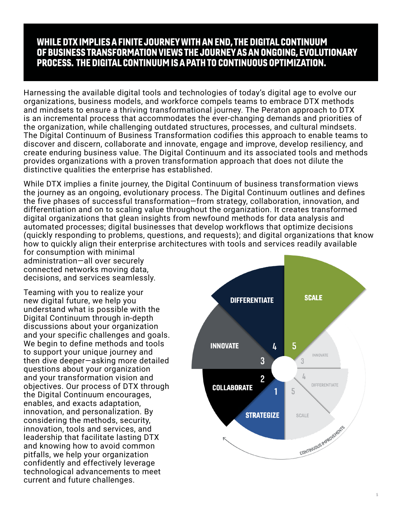#### WHILE DTX IMPLIES A FINITE JOURNEY WITH AN END, THE DIGITAL CONTINUUM OF BUSINESS TRANSFORMATION VIEWS THE JOURNEY AS AN ONGOING, EVOLUTIONARY PROCESS. THE DIGITAL CONTINUUM IS A PATH TO CONTINUOUS OPTIMIZATION.

Harnessing the available digital tools and technologies of today's digital age to evolve our organizations, business models, and workforce compels teams to embrace DTX methods and mindsets to ensure a thriving transformational journey. The Peraton approach to DTX is an incremental process that accommodates the ever-changing demands and priorities of the organization, while challenging outdated structures, processes, and cultural mindsets. The Digital Continuum of Business Transformation codifies this approach to enable teams to discover and discern, collaborate and innovate, engage and improve, develop resiliency, and create enduring business value. The Digital Continuum and its associated tools and methods provides organizations with a proven transformation approach that does not dilute the distinctive qualities the enterprise has established.

While DTX implies a finite journey, the Digital Continuum of business transformation views the journey as an ongoing, evolutionary process. The Digital Continuum outlines and defines the five phases of successful transformation—from strategy, collaboration, innovation, and differentiation and on to scaling value throughout the organization. It creates transformed digital organizations that glean insights from newfound methods for data analysis and automated processes; digital businesses that develop workflows that optimize decisions (quickly responding to problems, questions, and requests); and digital organizations that know how to quickly align their enterprise architectures with tools and services readily available

for consumption with minimal administration—all over securely connected networks moving data, decisions, and services seamlessly.

Teaming with you to realize your new digital future, we help you understand what is possible with the Digital Continuum through in-depth discussions about your organization and your specific challenges and goals. We begin to define methods and tools to support your unique journey and then dive deeper—asking more detailed questions about your organization and your transformation vision and objectives. Our process of DTX through the Digital Continuum encourages, enables, and exacts adaptation, innovation, and personalization. By considering the methods, security, innovation, tools and services, and leadership that facilitate lasting DTX and knowing how to avoid common pitfalls, we help your organization confidently and effectively leverage technological advancements to meet current and future challenges.

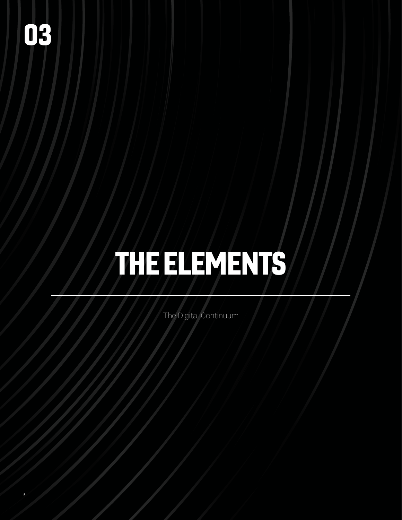### 03

6

## THE ELEMENTS

The Digital Continuum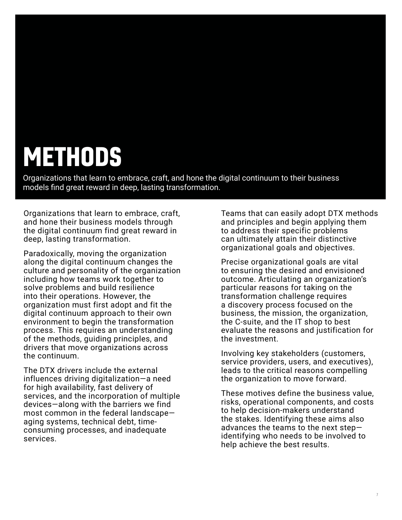#### **METHODS**

Organizations that learn to embrace, craft, and hone the digital continuum to their business models find great reward in deep, lasting transformation.

Organizations that learn to embrace, craft, and hone their business models through the digital continuum find great reward in deep, lasting transformation.

Paradoxically, moving the organization along the digital continuum changes the culture and personality of the organization including how teams work together to solve problems and build resilience into their operations. However, the organization must first adopt and fit the digital continuum approach to their own environment to begin the transformation process. This requires an understanding of the methods, guiding principles, and drivers that move organizations across the continuum.

The DTX drivers include the external influences driving digitalization—a need for high availability, fast delivery of services, and the incorporation of multiple devices—along with the barriers we find most common in the federal landscape aging systems, technical debt, timeconsuming processes, and inadequate services.

Teams that can easily adopt DTX methods and principles and begin applying them to address their specific problems can ultimately attain their distinctive organizational goals and objectives.

Precise organizational goals are vital to ensuring the desired and envisioned outcome. Articulating an organization's particular reasons for taking on the transformation challenge requires a discovery process focused on the business, the mission, the organization, the C-suite, and the IT shop to best evaluate the reasons and justification for the investment.

Involving key stakeholders (customers, service providers, users, and executives), leads to the critical reasons compelling the organization to move forward.

These motives define the business value, risks, operational components, and costs to help decision-makers understand the stakes. Identifying these aims also advances the teams to the next step identifying who needs to be involved to help achieve the best results.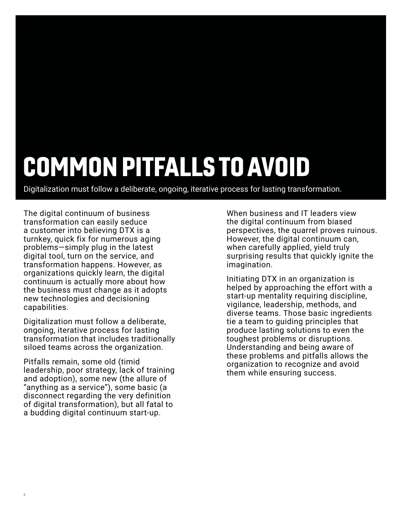#### COMMON PITFALLS TO AVOID

Digitalization must follow a deliberate, ongoing, iterative process for lasting transformation.

The digital continuum of business transformation can easily seduce a customer into believing DTX is a turnkey, quick fix for numerous aging problems—simply plug in the latest digital tool, turn on the service, and transformation happens. However, as organizations quickly learn, the digital continuum is actually more about how the business must change as it adopts new technologies and decisioning capabilities.

Digitalization must follow a deliberate, ongoing, iterative process for lasting transformation that includes traditionally siloed teams across the organization.

Pitfalls remain, some old (timid leadership, poor strategy, lack of training and adoption), some new (the allure of "anything as a service"), some basic (a disconnect regarding the very definition of digital transformation), but all fatal to a budding digital continuum start-up.

8

When business and IT leaders view the digital continuum from biased perspectives, the quarrel proves ruinous. However, the digital continuum can, when carefully applied, yield truly surprising results that quickly ignite the imagination.

Initiating DTX in an organization is helped by approaching the effort with a start-up mentality requiring discipline, vigilance, leadership, methods, and diverse teams. Those basic ingredients tie a team to guiding principles that produce lasting solutions to even the toughest problems or disruptions. Understanding and being aware of these problems and pitfalls allows the organization to recognize and avoid them while ensuring success.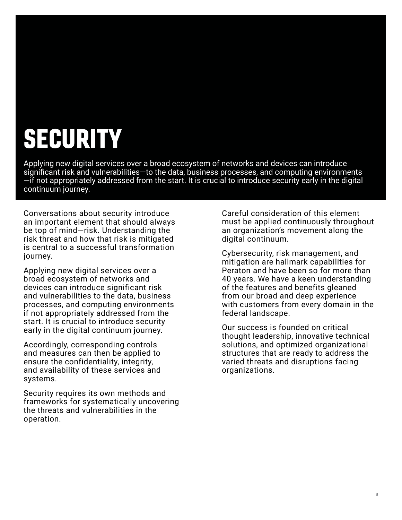### SECURITY

Applying new digital services over a broad ecosystem of networks and devices can introduce significant risk and vulnerabilities—to the data, business processes, and computing environments —if not appropriately addressed from the start. It is crucial to introduce security early in the digital continuum journey.

Conversations about security introduce an important element that should always be top of mind—risk. Understanding the risk threat and how that risk is mitigated is central to a successful transformation journey.

Applying new digital services over a broad ecosystem of networks and devices can introduce significant risk and vulnerabilities to the data, business processes, and computing environments if not appropriately addressed from the start. It is crucial to introduce security early in the digital continuum journey.

Accordingly, corresponding controls and measures can then be applied to ensure the confidentiality, integrity, and availability of these services and systems.

Security requires its own methods and frameworks for systematically uncovering the threats and vulnerabilities in the operation.

Careful consideration of this element must be applied continuously throughout an organization's movement along the digital continuum.

Cybersecurity, risk management, and mitigation are hallmark capabilities for Peraton and have been so for more than 40 years. We have a keen understanding of the features and benefits gleaned from our broad and deep experience with customers from every domain in the federal landscape.

Our success is founded on critical thought leadership, innovative technical solutions, and optimized organizational structures that are ready to address the varied threats and disruptions facing organizations.

9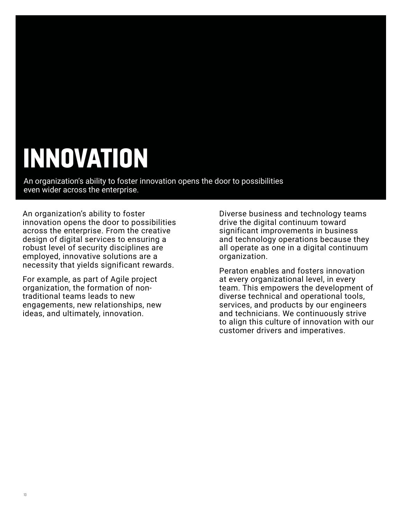#### INNOVATION

An organization's ability to foster innovation opens the door to possibilities even wider across the enterprise.

An organization's ability to foster innovation opens the door to possibilities across the enterprise. From the creative design of digital services to ensuring a robust level of security disciplines are employed, innovative solutions are a necessity that yields significant rewards.

For example, as part of Agile project organization, the formation of nontraditional teams leads to new engagements, new relationships, new ideas, and ultimately, innovation.

Diverse business and technology teams drive the digital continuum toward significant improvements in business and technology operations because they all operate as one in a digital continuum organization.

Peraton enables and fosters innovation at every organizational level, in every team. This empowers the development of diverse technical and operational tools, services, and products by our engineers and technicians. We continuously strive to align this culture of innovation with our customer drivers and imperatives.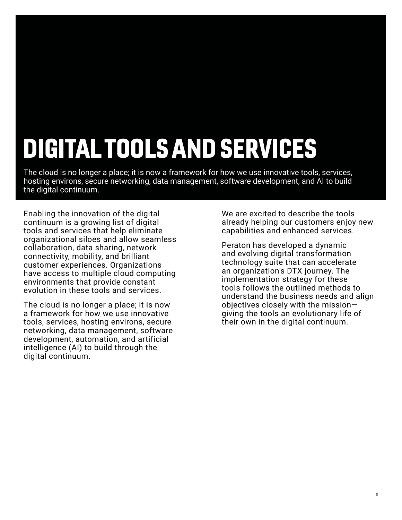### DIGITAL TOOLS AND SERVICES

The cloud is no longer a place; it is now a framework for how we use innovative tools, services, hosting environs, secure networking, data management, software development, and AI to build the digital continuum.

Enabling the innovation of the digital continuum is a growing list of digital tools and services that help eliminate organizational siloes and allow seamless collaboration, data sharing, network connectivity, mobility, and brilliant customer experiences. Organizations have access to multiple cloud computing environments that provide constant evolution in these tools and services.

The cloud is no longer a place; it is now a framework for how we use innovative tools, services, hosting environs, secure networking, data management, software development, automation, and artificial intelligence (AI) to build through the digital continuum.

We are excited to describe the tools already helping our customers enjoy new capabilities and enhanced services.

Peraton has developed a dynamic and evolving digital transformation technology suite that can accelerate an organization's DTX journey. The implementation strategy for these tools follows the outlined methods to understand the business needs and align objectives closely with the mission giving the tools an evolutionary life of their own in the digital continuum.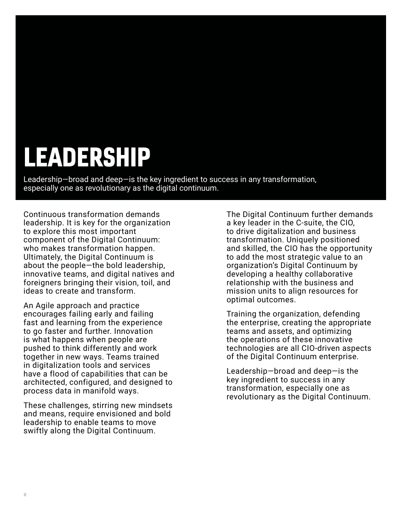#### LEADERSHIP

Leadership—broad and deep—is the key ingredient to success in any transformation, especially one as revolutionary as the digital continuum.

Continuous transformation demands leadership. It is key for the organization to explore this most important component of the Digital Continuum: who makes transformation happen. Ultimately, the Digital Continuum is about the people—the bold leadership, innovative teams, and digital natives and foreigners bringing their vision, toil, and ideas to create and transform.

An Agile approach and practice encourages failing early and failing fast and learning from the experience to go faster and further. Innovation is what happens when people are pushed to think differently and work together in new ways. Teams trained in digitalization tools and services have a flood of capabilities that can be architected, configured, and designed to process data in manifold ways.

These challenges, stirring new mindsets and means, require envisioned and bold leadership to enable teams to move swiftly along the Digital Continuum.

The Digital Continuum further demands a key leader in the C-suite, the CIO, to drive digitalization and business transformation. Uniquely positioned and skilled, the CIO has the opportunity to add the most strategic value to an organization's Digital Continuum by developing a healthy collaborative relationship with the business and mission units to align resources for optimal outcomes.

Training the organization, defending the enterprise, creating the appropriate teams and assets, and optimizing the operations of these innovative technologies are all CIO-driven aspects of the Digital Continuum enterprise.

Leadership—broad and deep—is the key ingredient to success in any transformation, especially one as revolutionary as the Digital Continuum.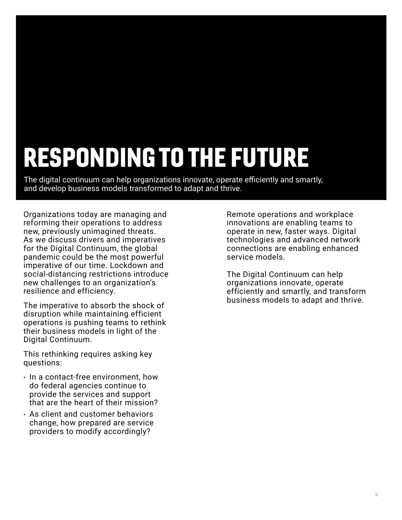#### RESPONDING TO THE FUTURE

The digital continuum can help organizations innovate, operate efficiently and smartly, and develop business models transformed to adapt and thrive.

Organizations today are managing and reforming their operations to address new, previously unimagined threats. As we discuss drivers and imperatives for the Digital Continuum, the global pandemic could be the most powerful imperative of our time. Lockdown and social-distancing restrictions introduce new challenges to an organization's resilience and efficiency.

The imperative to absorb the shock of disruption while maintaining efficient operations is pushing teams to rethink their business models in light of the Digital Continuum.

This rethinking requires asking key questions:

- In a contact-free environment, how do federal agencies continue to provide the services and support that are the heart of their mission?
- As client and customer behaviors change, how prepared are service providers to modify accordingly?

Remote operations and workplace innovations are enabling teams to operate in new, faster ways. Digital technologies and advanced network connections are enabling enhanced service models.

The Digital Continuum can help organizations innovate, operate efficiently and smartly, and transform business models to adapt and thrive.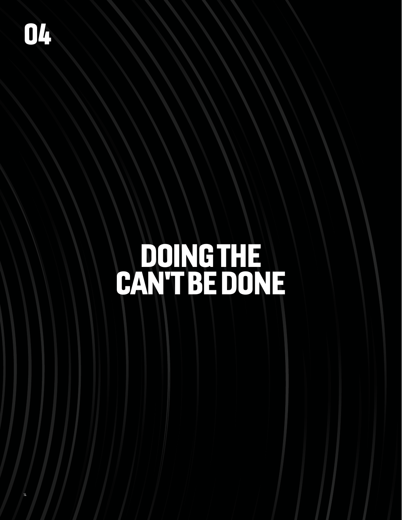### DOING THE CAN'T BE DONE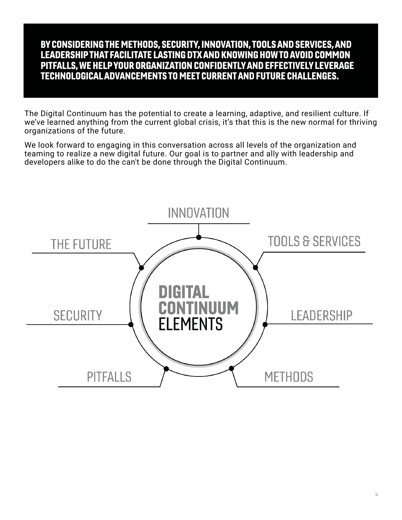#### BY CONSIDERING THE METHODS, SECURITY, INNOVATION, TOOLS AND SERVICES, AND LEADERSHIP THAT FACILITATE LASTING DTX AND KNOWING HOW TO AVOID COMMON PITFALLS, WE HELP YOUR ORGANIZATION CONFIDENTLY AND EFFECTIVELY LEVERAGE TECHNOLOGICAL ADVANCEMENTS TO MEET CURRENT AND FUTURE CHALLENGES.

The Digital Continuum has the potential to create a learning, adaptive, and resilient culture. If we've learned anything from the current global crisis, it's that this is the new normal for thriving organizations of the future.

We look forward to engaging in this conversation across all levels of the organization and teaming to realize a new digital future. Our goal is to partner and ally with leadership and developers alike to do the can't be done through the Digital Continuum.